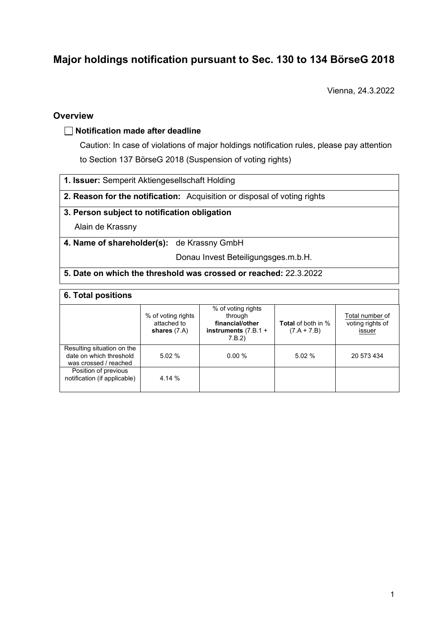# **Major holdings notification pursuant to Sec. 130 to 134 BörseG 2018**

Vienna, 24.3.2022

# **Overview**

#### **Notification made after deadline**

Caution: In case of violations of major holdings notification rules, please pay attention to Section 137 BörseG 2018 (Suspension of voting rights)

- **1. Issuer:** Semperit Aktiengesellschaft Holding
- **2. Reason for the notification:** Acquisition or disposal of voting rights

#### **3. Person subject to notification obligation**

Alain de Krassny

**4. Name of shareholder(s):** de Krassny GmbH

Donau Invest Beteiligungsges.m.b.H.

#### **5. Date on which the threshold was crossed or reached:** 22.3.2022

| 6. Total positions                                                             |                                                     |                                                                                      |                                            |                                               |  |
|--------------------------------------------------------------------------------|-----------------------------------------------------|--------------------------------------------------------------------------------------|--------------------------------------------|-----------------------------------------------|--|
|                                                                                | % of voting rights<br>attached to<br>shares $(7.A)$ | % of voting rights<br>through<br>financial/other<br>instruments $(7.B.1 +$<br>7.B.2) | <b>Total</b> of both in %<br>$(7.A + 7.B)$ | Total number of<br>voting rights of<br>issuer |  |
| Resulting situation on the<br>date on which threshold<br>was crossed / reached | 5.02%                                               | 0.00%                                                                                | 5.02%                                      | 20 573 434                                    |  |
| Position of previous<br>notification (if applicable)                           | 4.14 %                                              |                                                                                      |                                            |                                               |  |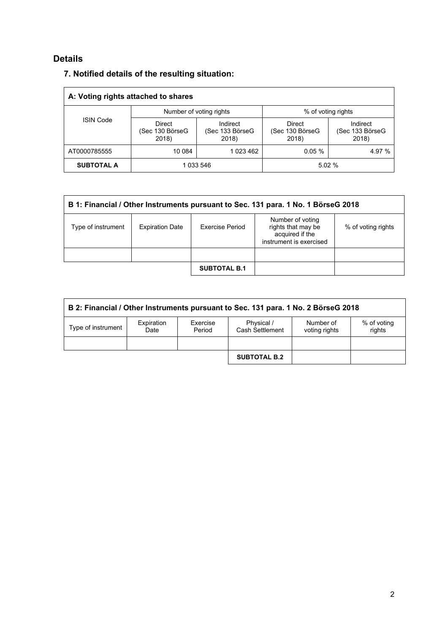# **Details**

| A: Voting rights attached to shares |                                           |                                      |                                    |                                      |  |
|-------------------------------------|-------------------------------------------|--------------------------------------|------------------------------------|--------------------------------------|--|
| <b>ISIN Code</b>                    |                                           | Number of voting rights              | % of voting rights                 |                                      |  |
|                                     | <b>Direct</b><br>(Sec 130 BörseG<br>2018) | Indirect<br>(Sec 133 BörseG<br>2018) | Direct<br>(Sec 130 BörseG<br>2018) | Indirect<br>(Sec 133 BörseG<br>2018) |  |
| AT0000785555                        | 10 084                                    | 1 023 462                            | 0.05%                              | 4.97 %                               |  |
| <b>SUBTOTAL A</b>                   | 1 033 546                                 |                                      | 5.02%                              |                                      |  |

| B 1: Financial / Other Instruments pursuant to Sec. 131 para. 1 No. 1 BörseG 2018 |                        |                     |                                                                                      |                    |  |
|-----------------------------------------------------------------------------------|------------------------|---------------------|--------------------------------------------------------------------------------------|--------------------|--|
| Type of instrument                                                                | <b>Expiration Date</b> | Exercise Period     | Number of voting<br>rights that may be<br>acquired if the<br>instrument is exercised | % of voting rights |  |
|                                                                                   |                        |                     |                                                                                      |                    |  |
|                                                                                   |                        | <b>SUBTOTAL B.1</b> |                                                                                      |                    |  |

| B 2: Financial / Other Instruments pursuant to Sec. 131 para. 1 No. 2 BörseG 2018 |                    |                    |                               |                            |                       |
|-----------------------------------------------------------------------------------|--------------------|--------------------|-------------------------------|----------------------------|-----------------------|
| Type of instrument                                                                | Expiration<br>Date | Exercise<br>Period | Physical /<br>Cash Settlement | Number of<br>voting rights | % of voting<br>rights |
|                                                                                   |                    |                    |                               |                            |                       |
|                                                                                   |                    |                    | <b>SUBTOTAL B.2</b>           |                            |                       |